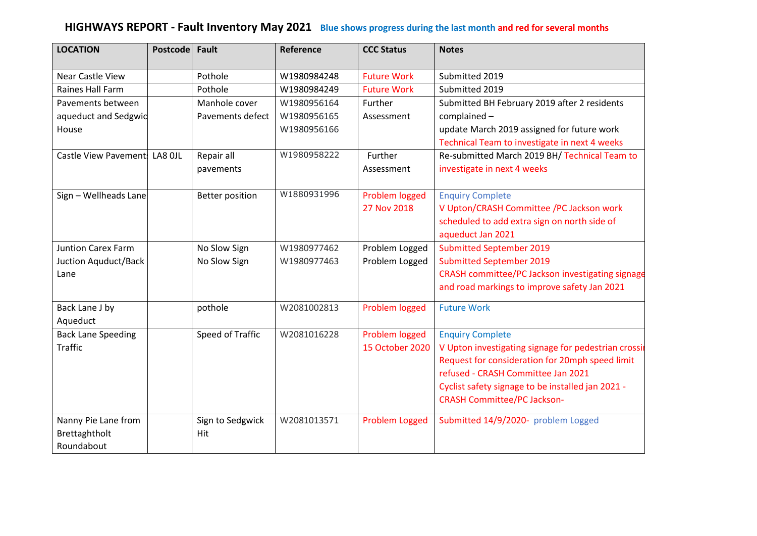## **HIGHWAYS REPORT - Fault Inventory May 2021 Blue shows progress during the last month and red for several months**

| <b>LOCATION</b>               | <b>Postcode</b> | Fault                  | Reference   | <b>CCC Status</b>     | <b>Notes</b>                                         |
|-------------------------------|-----------------|------------------------|-------------|-----------------------|------------------------------------------------------|
| Near Castle View              |                 | Pothole                | W1980984248 | <b>Future Work</b>    | Submitted 2019                                       |
| Raines Hall Farm              |                 | Pothole                | W1980984249 | <b>Future Work</b>    | Submitted 2019                                       |
| Pavements between             |                 | Manhole cover          | W1980956164 | Further               | Submitted BH February 2019 after 2 residents         |
| aqueduct and Sedgwic          |                 | Pavements defect       | W1980956165 | Assessment            | complained-                                          |
| House                         |                 |                        | W1980956166 |                       | update March 2019 assigned for future work           |
|                               |                 |                        |             |                       | Technical Team to investigate in next 4 weeks        |
| Castle View Pavement: LA8 OJL |                 | Repair all             | W1980958222 | Further               | Re-submitted March 2019 BH/ Technical Team to        |
|                               |                 | pavements              |             | Assessment            | investigate in next 4 weeks                          |
| Sign - Wellheads Lane         |                 | <b>Better position</b> | W1880931996 | Problem logged        | <b>Enquiry Complete</b>                              |
|                               |                 |                        |             | 27 Nov 2018           | V Upton/CRASH Committee /PC Jackson work             |
|                               |                 |                        |             |                       | scheduled to add extra sign on north side of         |
|                               |                 |                        |             |                       | aqueduct Jan 2021                                    |
| <b>Juntion Carex Farm</b>     |                 | No Slow Sign           | W1980977462 | Problem Logged        | <b>Submitted September 2019</b>                      |
| Juction Aquduct/Back          |                 | No Slow Sign           | W1980977463 | Problem Logged        | <b>Submitted September 2019</b>                      |
| Lane                          |                 |                        |             |                       | CRASH committee/PC Jackson investigating signage     |
|                               |                 |                        |             |                       | and road markings to improve safety Jan 2021         |
| Back Lane J by                |                 | pothole                | W2081002813 | Problem logged        | <b>Future Work</b>                                   |
| Aqueduct                      |                 |                        |             |                       |                                                      |
| <b>Back Lane Speeding</b>     |                 | Speed of Traffic       | W2081016228 | Problem logged        | <b>Enquiry Complete</b>                              |
| <b>Traffic</b>                |                 |                        |             | 15 October 2020       | V Upton investigating signage for pedestrian crossin |
|                               |                 |                        |             |                       | Request for consideration for 20mph speed limit      |
|                               |                 |                        |             |                       | refused - CRASH Committee Jan 2021                   |
|                               |                 |                        |             |                       | Cyclist safety signage to be installed jan 2021 -    |
|                               |                 |                        |             |                       | <b>CRASH Committee/PC Jackson-</b>                   |
| Nanny Pie Lane from           |                 | Sign to Sedgwick       | W2081013571 | <b>Problem Logged</b> | Submitted 14/9/2020- problem Logged                  |
| Brettaghtholt                 |                 | Hit                    |             |                       |                                                      |
| Roundabout                    |                 |                        |             |                       |                                                      |